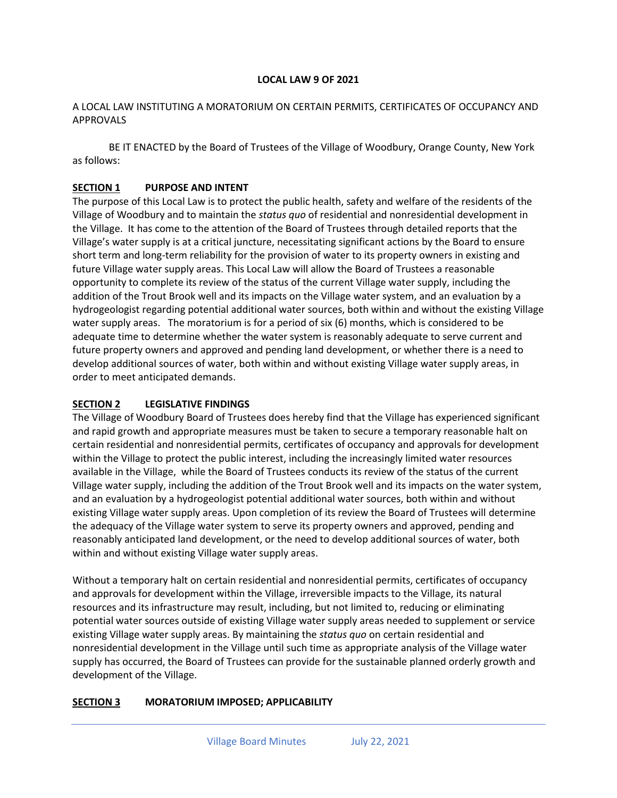#### **LOCAL LAW 9 OF 2021**

#### A LOCAL LAW INSTITUTING A MORATORIUM ON CERTAIN PERMITS, CERTIFICATES OF OCCUPANCY AND APPROVALS

BE IT ENACTED by the Board of Trustees of the Village of Woodbury, Orange County, New York as follows:

### **SECTION 1 PURPOSE AND INTENT**

The purpose of this Local Law is to protect the public health, safety and welfare of the residents of the Village of Woodbury and to maintain the *status quo* of residential and nonresidential development in the Village. It has come to the attention of the Board of Trustees through detailed reports that the Village's water supply is at a critical juncture, necessitating significant actions by the Board to ensure short term and long-term reliability for the provision of water to its property owners in existing and future Village water supply areas. This Local Law will allow the Board of Trustees a reasonable opportunity to complete its review of the status of the current Village water supply, including the addition of the Trout Brook well and its impacts on the Village water system, and an evaluation by a hydrogeologist regarding potential additional water sources, both within and without the existing Village water supply areas. The moratorium is for a period of six (6) months, which is considered to be adequate time to determine whether the water system is reasonably adequate to serve current and future property owners and approved and pending land development, or whether there is a need to develop additional sources of water, both within and without existing Village water supply areas, in order to meet anticipated demands.

### **SECTION 2 LEGISLATIVE FINDINGS**

The Village of Woodbury Board of Trustees does hereby find that the Village has experienced significant and rapid growth and appropriate measures must be taken to secure a temporary reasonable halt on certain residential and nonresidential permits, certificates of occupancy and approvals for development within the Village to protect the public interest, including the increasingly limited water resources available in the Village, while the Board of Trustees conducts its review of the status of the current Village water supply, including the addition of the Trout Brook well and its impacts on the water system, and an evaluation by a hydrogeologist potential additional water sources, both within and without existing Village water supply areas. Upon completion of its review the Board of Trustees will determine the adequacy of the Village water system to serve its property owners and approved, pending and reasonably anticipated land development, or the need to develop additional sources of water, both within and without existing Village water supply areas.

Without a temporary halt on certain residential and nonresidential permits, certificates of occupancy and approvals for development within the Village, irreversible impacts to the Village, its natural resources and its infrastructure may result, including, but not limited to, reducing or eliminating potential water sources outside of existing Village water supply areas needed to supplement or service existing Village water supply areas. By maintaining the *status quo* on certain residential and nonresidential development in the Village until such time as appropriate analysis of the Village water supply has occurred, the Board of Trustees can provide for the sustainable planned orderly growth and development of the Village.

### **SECTION 3 MORATORIUM IMPOSED; APPLICABILITY**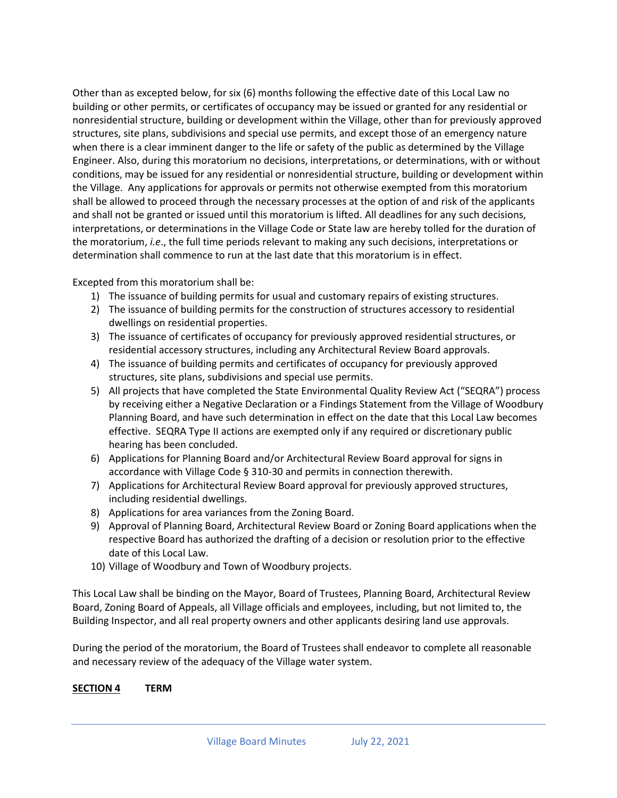Other than as excepted below, for six (6) months following the effective date of this Local Law no building or other permits, or certificates of occupancy may be issued or granted for any residential or nonresidential structure, building or development within the Village, other than for previously approved structures, site plans, subdivisions and special use permits, and except those of an emergency nature when there is a clear imminent danger to the life or safety of the public as determined by the Village Engineer. Also, during this moratorium no decisions, interpretations, or determinations, with or without conditions, may be issued for any residential or nonresidential structure, building or development within the Village. Any applications for approvals or permits not otherwise exempted from this moratorium shall be allowed to proceed through the necessary processes at the option of and risk of the applicants and shall not be granted or issued until this moratorium is lifted. All deadlines for any such decisions, interpretations, or determinations in the Village Code or State law are hereby tolled for the duration of the moratorium, *i.e*., the full time periods relevant to making any such decisions, interpretations or determination shall commence to run at the last date that this moratorium is in effect.

Excepted from this moratorium shall be:

- 1) The issuance of building permits for usual and customary repairs of existing structures.
- 2) The issuance of building permits for the construction of structures accessory to residential dwellings on residential properties.
- 3) The issuance of certificates of occupancy for previously approved residential structures, or residential accessory structures, including any Architectural Review Board approvals.
- 4) The issuance of building permits and certificates of occupancy for previously approved structures, site plans, subdivisions and special use permits.
- 5) All projects that have completed the State Environmental Quality Review Act ("SEQRA") process by receiving either a Negative Declaration or a Findings Statement from the Village of Woodbury Planning Board, and have such determination in effect on the date that this Local Law becomes effective. SEQRA Type II actions are exempted only if any required or discretionary public hearing has been concluded.
- 6) Applications for Planning Board and/or Architectural Review Board approval for signs in accordance with Village Code § 310-30 and permits in connection therewith.
- 7) Applications for Architectural Review Board approval for previously approved structures, including residential dwellings.
- 8) Applications for area variances from the Zoning Board.
- 9) Approval of Planning Board, Architectural Review Board or Zoning Board applications when the respective Board has authorized the drafting of a decision or resolution prior to the effective date of this Local Law.
- 10) Village of Woodbury and Town of Woodbury projects.

This Local Law shall be binding on the Mayor, Board of Trustees, Planning Board, Architectural Review Board, Zoning Board of Appeals, all Village officials and employees, including, but not limited to, the Building Inspector, and all real property owners and other applicants desiring land use approvals.

During the period of the moratorium, the Board of Trustees shall endeavor to complete all reasonable and necessary review of the adequacy of the Village water system.

### **SECTION 4 TERM**